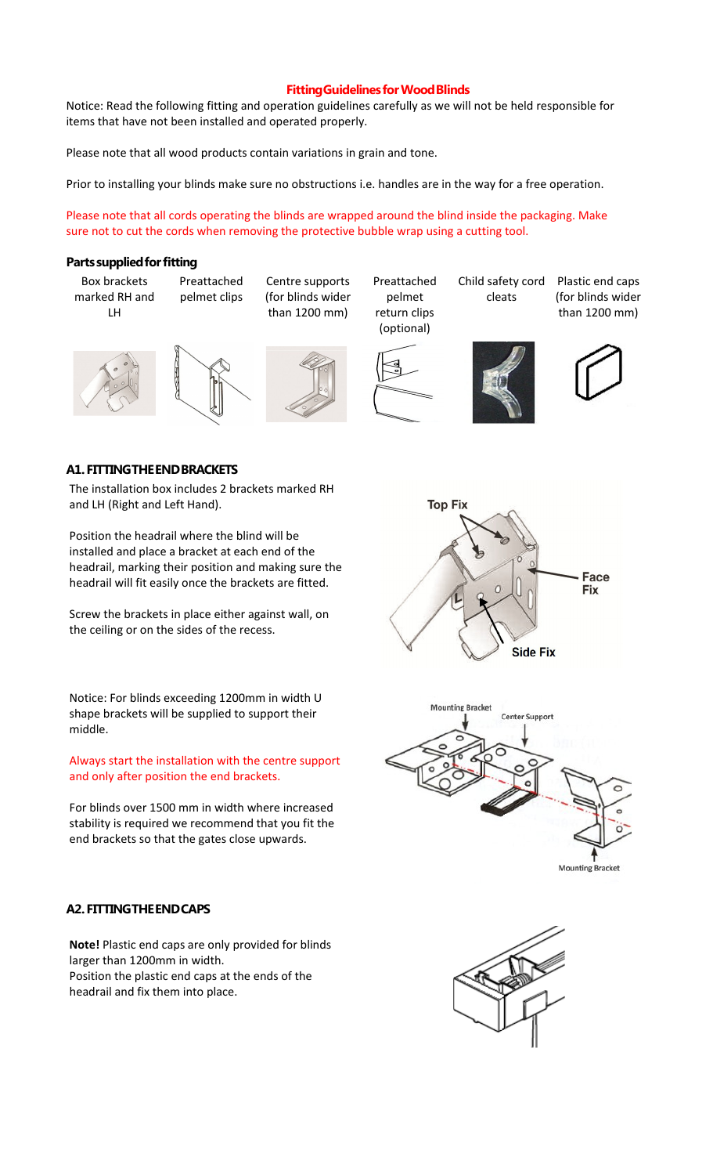# **Fitting Guidelines for Wood Blinds**

Notice: Read the following fitting and operation guidelines carefully as we will not be held responsible for items that have not been installed and operated properly.

Please note that all wood products contain variations in grain and tone.

Prior to installing your blinds make sure no obstructions i.e. handles are in the way for a free operation.

Please note that all cords operating the blinds are wrapped around the blind inside the packaging. Make sure not to cut the cords when removing the protective bubble wrap using a cutting tool.

#### **Parts supplied for fitting**

Box brackets marked RH and LH

Preattached pelmet clips

Centre supports (for blinds wider than 1200 mm)

Preattached pelmet return clips

Child safety cord cleats

Plastic end caps (for blinds wider than 1200 mm)







(optional)





### **A1. FITTING THE END BRACKETS**

The installation box includes 2 brackets marked RH and LH (Right and Left Hand).

Position the headrail where the blind will be installed and place a bracket at each end of the headrail, marking their position and making sure the headrail will fit easily once the brackets are fitted.

Screw the brackets in place either against wall, on the ceiling or on the sides of the recess.

Notice: For blinds exceeding 1200mm in width U shape brackets will be supplied to support their middle.

Always start the installation with the centre support and only after position the end brackets.

For blinds over 1500 mm in width where increased stability is required we recommend that you fit the end brackets so that the gates close upwards.

# **A2. FITTING THE END CAPS**

**Note!** Plastic end caps are only provided for blinds larger than 1200mm in width. Position the plastic end caps at the ends of the headrail and fix them into place.





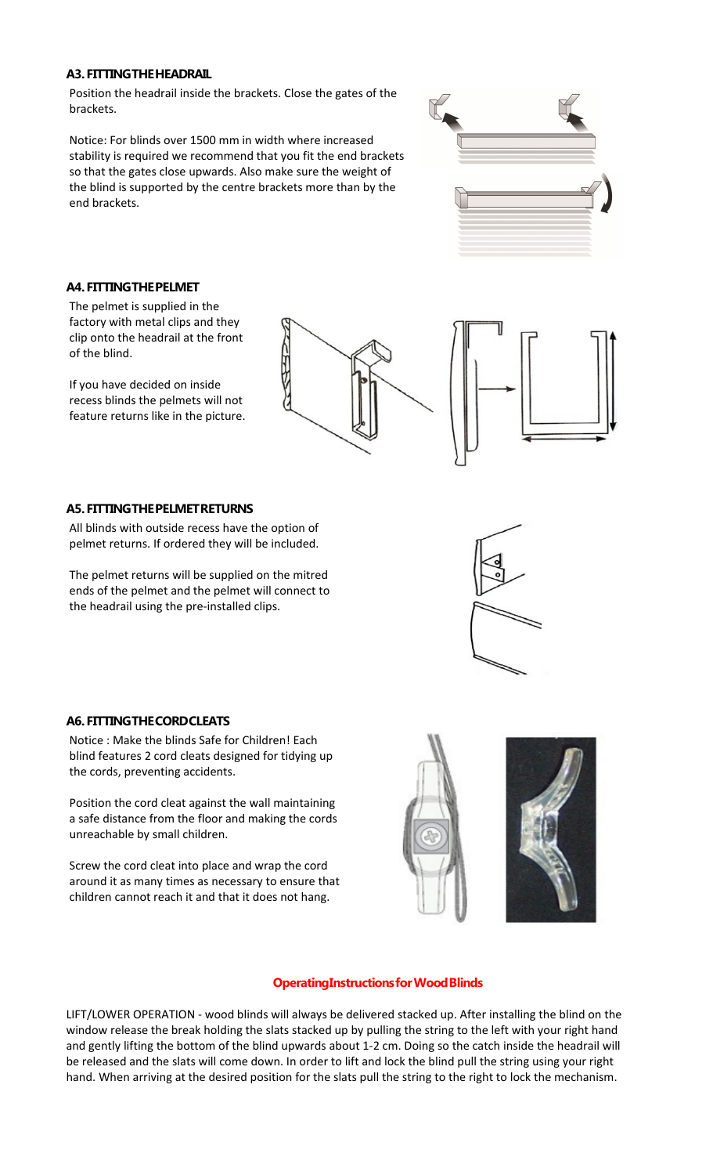# **A3. FITTING THE HEADRAIL**

Position the headrail inside the brackets. Close the gates of the brackets.

Notice: For blinds over 1500 mm in width where increased stability is required we recommend that you fit the end brackets so that the gates close upwards. Also make sure the weight of the blind is supported by the centre brackets more than by the end brackets.



# **A4. FITTING THE PELMET**

The pelmet is supplied in the factory with metal clips and they clip onto the headrail at the front of the blind.

If you have decided on inside recess blinds the pelmets will not feature returns like in the picture.



### **A5. FITTING THE PELMET RETURNS**

All blinds with outside recess have the option of pelmet returns. If ordered they will be included.

The pelmet returns will be supplied on the mitred ends of the pelmet and the pelmet will connect to the headrail using the pre-installed clips.



### **A6. FITTING THE CORD CLEATS**

Notice : Make the blinds Safe for Children! Each blind features 2 cord cleats designed for tidying up the cords, preventing accidents.

Position the cord cleat against the wall maintaining a safe distance from the floor and making the cords unreachable by small children.

Screw the cord cleat into place and wrap the cord around it as many times as necessary to ensure that children cannot reach it and that it does not hang.



### **Operating Instructions for Wood Blinds**

LIFT/LOWER OPERATION - wood blinds will always be delivered stacked up. After installing the blind on the window release the break holding the slats stacked up by pulling the string to the left with your right hand and gently lifting the bottom of the blind upwards about 1-2 cm. Doing so the catch inside the headrail will be released and the slats will come down. In order to lift and lock the blind pull the string using your right hand. When arriving at the desired position for the slats pull the string to the right to lock the mechanism.